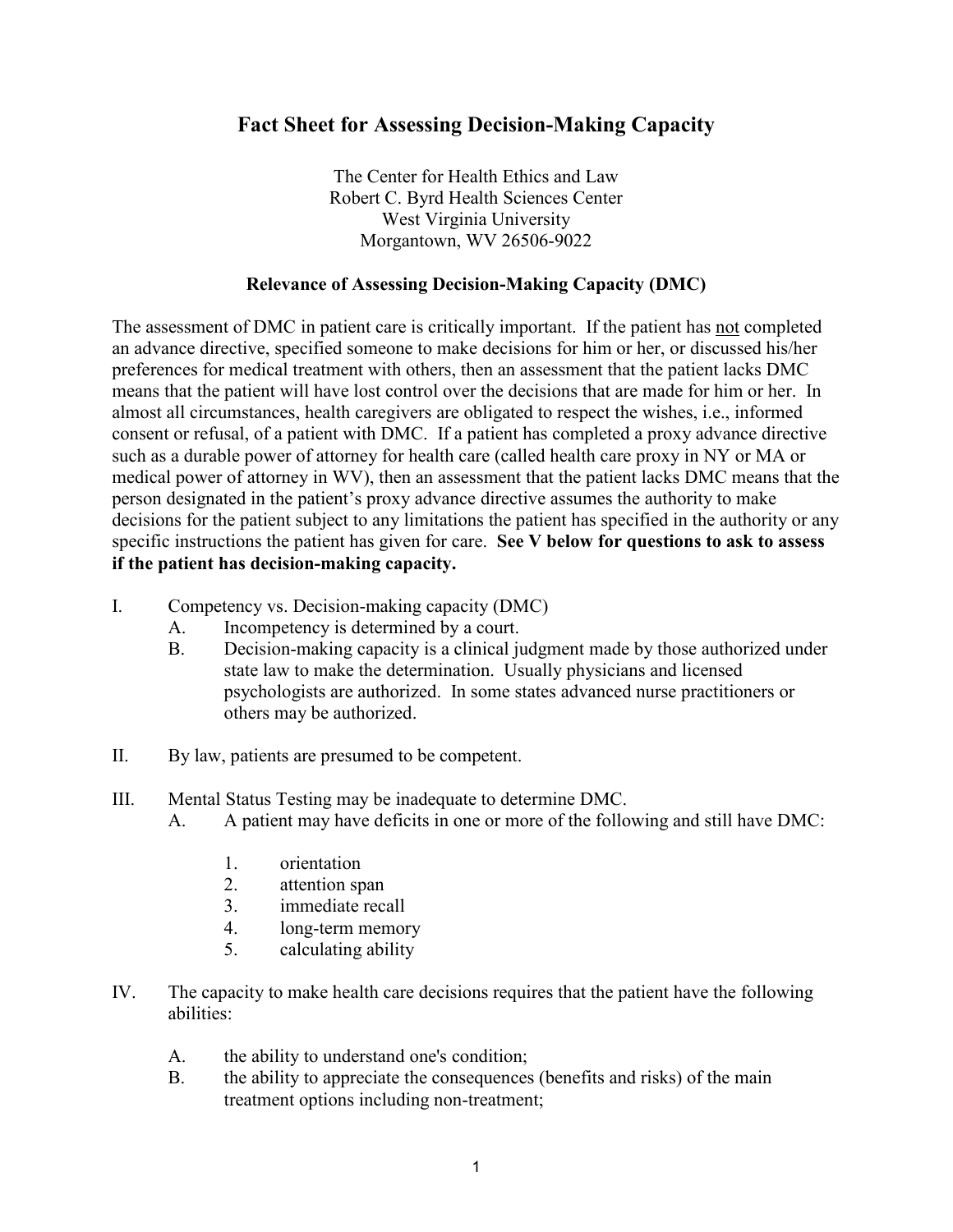## **Fact Sheet for Assessing Decision-Making Capacity**

The Center for Health Ethics and Law Robert C. Byrd Health Sciences Center West Virginia University Morgantown, WV 26506-9022

## **Relevance of Assessing Decision-Making Capacity (DMC)**

The assessment of DMC in patient care is critically important. If the patient has not completed an advance directive, specified someone to make decisions for him or her, or discussed his/her preferences for medical treatment with others, then an assessment that the patient lacks DMC means that the patient will have lost control over the decisions that are made for him or her. In almost all circumstances, health caregivers are obligated to respect the wishes, i.e., informed consent or refusal, of a patient with DMC. If a patient has completed a proxy advance directive such as a durable power of attorney for health care (called health care proxy in NY or MA or medical power of attorney in WV), then an assessment that the patient lacks DMC means that the person designated in the patient's proxy advance directive assumes the authority to make decisions for the patient subject to any limitations the patient has specified in the authority or any specific instructions the patient has given for care. **See V below for questions to ask to assess if the patient has decision-making capacity.**

- I. Competency vs. Decision-making capacity (DMC)
	- A. Incompetency is determined by a court.
	- B. Decision-making capacity is a clinical judgment made by those authorized under state law to make the determination. Usually physicians and licensed psychologists are authorized. In some states advanced nurse practitioners or others may be authorized.
- II. By law, patients are presumed to be competent.
- III. Mental Status Testing may be inadequate to determine DMC.
	- A. A patient may have deficits in one or more of the following and still have DMC:
		- 1. orientation
		- 2. attention span
		- 3. immediate recall
		- 4. long-term memory
		- 5. calculating ability
- IV. The capacity to make health care decisions requires that the patient have the following abilities:
	- A. the ability to understand one's condition;
	- B. the ability to appreciate the consequences (benefits and risks) of the main treatment options including non-treatment;